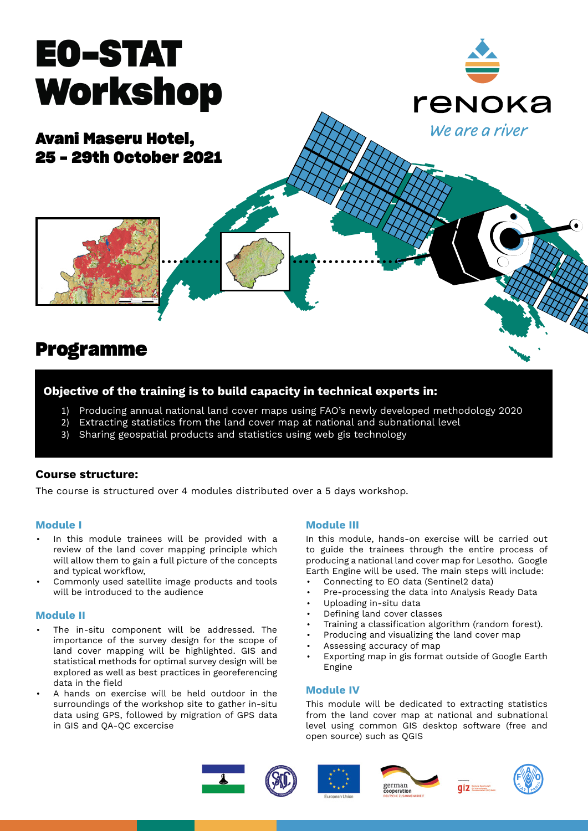# **EO-STAT Workshop**

**Avani Maseru Hotel, 25 - 29th October 2021**



### **Programme**

#### **Objective of the training is to build capacity in technical experts in:**

- 1) Producing annual national land cover maps using FAO's newly developed methodology 2020
- 2) Extracting statistics from the land cover map at national and subnational level
- 3) Sharing geospatial products and statistics using web gis technology

#### **Course structure:**

The course is structured over 4 modules distributed over a 5 days workshop.

#### **Module I**

- In this module trainees will be provided with a review of the land cover mapping principle which will allow them to gain a full picture of the concepts and typical workflow,
- Commonly used satellite image products and tools will be introduced to the audience

#### **Module II**

- The in-situ component will be addressed. The importance of the survey design for the scope of land cover mapping will be highlighted. GIS and statistical methods for optimal survey design will be explored as well as best practices in georeferencing data in the field
- A hands on exercise will be held outdoor in the surroundings of the workshop site to gather in-situ data using GPS, followed by migration of GPS data in GIS and QA-QC excercise

#### **Module III**

In this module, hands-on exercise will be carried out to guide the trainees through the entire process of producing a national land cover map for Lesotho. Google Earth Engine will be used. The main steps will include:

renoka

We are a river

- Connecting to EO data (Sentinel2 data)
- Pre-processing the data into Analysis Ready Data
- Uploading in-situ data
- Defining land cover classes
- Training a classification algorithm (random forest).
- Producing and visualizing the land cover map
- Assessing accuracy of map
- Exporting map in gis format outside of Google Earth Engine

#### **Module IV**

This module will be dedicated to extracting statistics from the land cover map at national and subnational level using common GIS desktop software (free and open source) such as QGIS









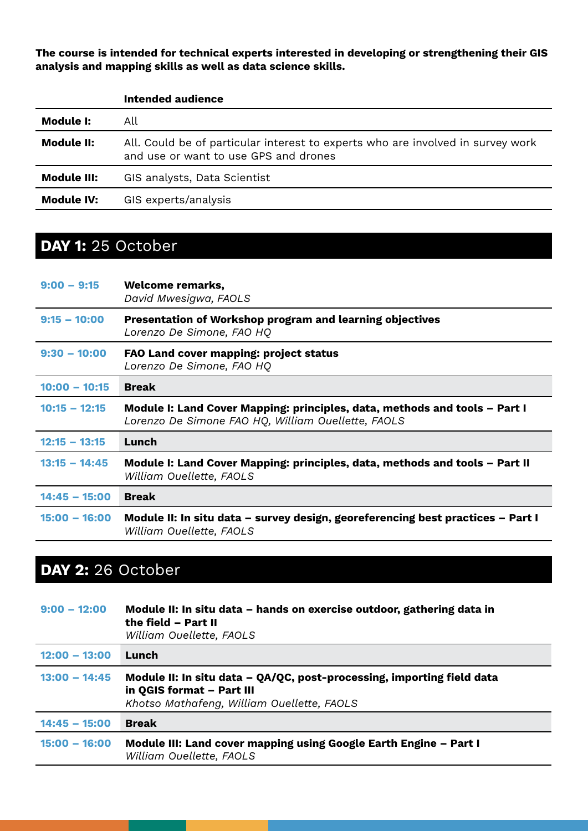**The course is intended for technical experts interested in developing or strengthening their GIS analysis and mapping skills as well as data science skills.** 

|                    | Intended audience                                                                                                        |
|--------------------|--------------------------------------------------------------------------------------------------------------------------|
| Module I:          | All                                                                                                                      |
| <b>Module II:</b>  | All. Could be of particular interest to experts who are involved in survey work<br>and use or want to use GPS and drones |
| <b>Module III:</b> | GIS analysts, Data Scientist                                                                                             |
| <b>Module IV:</b>  | GIS experts/analysis                                                                                                     |

# **DAY 1:** 25 October

| $9:00 - 9:15$   | <b>Welcome remarks,</b><br>David Mwesigwa, FAOLS                                                                                 |
|-----------------|----------------------------------------------------------------------------------------------------------------------------------|
| $9:15 - 10:00$  | Presentation of Workshop program and learning objectives<br>Lorenzo De Simone, FAO HQ                                            |
| $9:30 - 10:00$  | <b>FAO Land cover mapping: project status</b><br>Lorenzo De Simone, FAO HQ                                                       |
| $10:00 - 10:15$ | <b>Break</b>                                                                                                                     |
| $10:15 - 12:15$ | Module I: Land Cover Mapping: principles, data, methods and tools – Part I<br>Lorenzo De Simone FAO HQ, William Ouellette, FAOLS |
| $12:15 - 13:15$ | Lunch                                                                                                                            |
| $13:15 - 14:45$ | Module I: Land Cover Mapping: principles, data, methods and tools – Part II<br>William Ouellette, FAOLS                          |
| $14:45 - 15:00$ | <b>Break</b>                                                                                                                     |
| $15:00 - 16:00$ | Module II: In situ data – survey design, georeferencing best practices – Part I<br>William Ouellette, FAOLS                      |

# **DAY 2:** 26 October

| $9:00 - 12:00$  | Module II: In situ data – hands on exercise outdoor, gathering data in<br>the field - Part II<br>William Ouellette, FAOLS                         |
|-----------------|---------------------------------------------------------------------------------------------------------------------------------------------------|
| $12:00 - 13:00$ | Lunch                                                                                                                                             |
| $13:00 - 14:45$ | Module II: In situ data - QA/QC, post-processing, importing field data<br>in QGIS format - Part III<br>Khotso Mathafeng, William Ouellette, FAOLS |
| $14:45 - 15:00$ | <b>Break</b>                                                                                                                                      |
| $15:00 - 16:00$ | Module III: Land cover mapping using Google Earth Engine - Part I<br>William Ouellette, FAOLS                                                     |